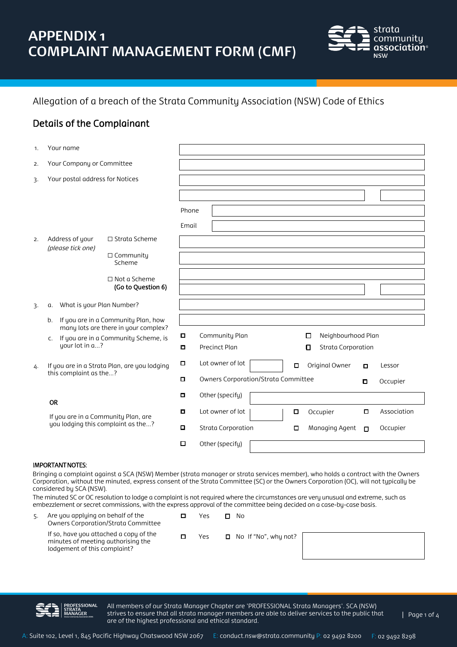

### Allegation of a breach of the Strata Community Association (NSW) Code of Ethics

### Details of the Complainant

| 1.               | Your name                                                                         |                                                        |        |                                            |  |        |                                                           |   |             |
|------------------|-----------------------------------------------------------------------------------|--------------------------------------------------------|--------|--------------------------------------------|--|--------|-----------------------------------------------------------|---|-------------|
| 2.               | Your Company or Committee                                                         |                                                        |        |                                            |  |        |                                                           |   |             |
| 3.               | Your postal address for Notices                                                   |                                                        |        |                                            |  |        |                                                           |   |             |
|                  |                                                                                   |                                                        |        |                                            |  |        |                                                           |   |             |
|                  |                                                                                   |                                                        | Phone  |                                            |  |        |                                                           |   |             |
|                  | Address of your<br>(please tick one)                                              |                                                        | Email  |                                            |  |        |                                                           |   |             |
| 2.               |                                                                                   | □ Strata Scheme                                        |        |                                            |  |        |                                                           |   |             |
|                  |                                                                                   | $\Box$ Community<br>Scheme                             |        |                                            |  |        |                                                           |   |             |
|                  |                                                                                   | $\Box$ Not a Scheme<br>(Go to Question 6)              |        |                                            |  |        |                                                           |   |             |
| $\overline{3}$ . | What is your Plan Number?<br>a.                                                   |                                                        |        |                                            |  |        |                                                           |   |             |
|                  | If you are in a Community Plan, how<br>b.<br>many lots are there in your complex? |                                                        |        |                                            |  |        |                                                           |   |             |
|                  | $\mathsf{C}$ .                                                                    | If you are in a Community Scheme, is<br>your lot in a? |        | Community Plan<br><b>Precinct Plan</b>     |  |        | Neighbourhood Plan<br>О<br><b>Strata Corporation</b><br>о |   |             |
| 4.               | If you are in a Strata Plan, are you lodging<br>this complaint as the?            |                                                        | П      | Lot owner of lot                           |  | $\Box$ | Original Owner                                            | П | Lessor      |
|                  |                                                                                   |                                                        | $\Box$ | <b>Owners Corporation/Strata Committee</b> |  |        |                                                           |   | Occupier    |
|                  | <b>OR</b>                                                                         |                                                        | ◘      | Other (specify)                            |  |        |                                                           |   |             |
|                  | If you are in a Community Plan, are<br>you lodging this complaint as the?         |                                                        | о      | Lot owner of lot                           |  | $\Box$ | Occupier                                                  | о | Association |
|                  |                                                                                   |                                                        | $\Box$ | <b>Strata Corporation</b>                  |  | О      | Managing Agent                                            | п | Occupier    |
|                  |                                                                                   |                                                        | □      | Other (specify)                            |  |        |                                                           |   |             |

#### IMPORTANT NOTES:

Bringing a complaint against a SCA (NSW) Member (strata manager or strata services member), who holds a contract with the Owners Corporation, without the minuted, express consent of the Strata Committee (SC) or the Owners Corporation (OC), will not typically be considered by SCA (NSW).

The minuted SC or OC resolution to lodge a complaint is not required where the circumstances are very unusual and extreme, such as embezzlement or secret commissions, with the express approval of the committee being decided on a case-by-case basis.

| Are you applying on behalf of the<br><b>Owners Corporation/Strata Committee</b>                              | Yes | No                          |
|--------------------------------------------------------------------------------------------------------------|-----|-----------------------------|
| If so, have you attached a copy of the<br>minutes of meeting authorising the<br>lodgement of this complaint? | Yes | $\Box$ No If "No", why not? |



All members of our Strata Manager Chapter are 'PROFESSIONAL Strata Managers'. SCA (NSW) strives to ensure that all strata manager members are able to deliver services to the public that are of the highest professional and ethical standard.

| Page 1 of 4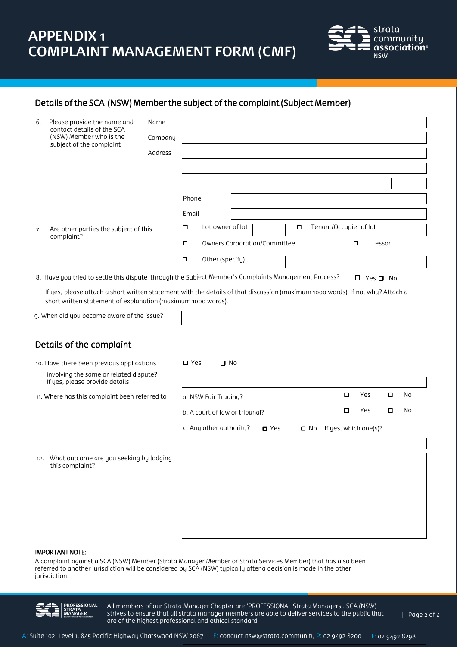

#### Details of the SCA (NSW) Member the subject of the complaint (Subject Member)

| 6. | Please provide the name and<br>contact details of the SCA                                                                                                                                      | Name    |               |                                |           |                                     |                   |                        |   |                       |        |    |
|----|------------------------------------------------------------------------------------------------------------------------------------------------------------------------------------------------|---------|---------------|--------------------------------|-----------|-------------------------------------|-------------------|------------------------|---|-----------------------|--------|----|
|    | (NSW) Member who is the                                                                                                                                                                        | Company |               |                                |           |                                     |                   |                        |   |                       |        |    |
|    | subject of the complaint                                                                                                                                                                       | Address |               |                                |           |                                     |                   |                        |   |                       |        |    |
|    |                                                                                                                                                                                                |         |               |                                |           |                                     |                   |                        |   |                       |        |    |
|    |                                                                                                                                                                                                |         |               |                                |           |                                     |                   |                        |   |                       |        |    |
|    |                                                                                                                                                                                                |         |               |                                |           |                                     |                   |                        |   |                       |        |    |
|    |                                                                                                                                                                                                |         | Phone         |                                |           |                                     |                   |                        |   |                       |        |    |
|    |                                                                                                                                                                                                |         | Email         |                                |           |                                     |                   |                        |   |                       |        |    |
| 7. | Are other parties the subject of this                                                                                                                                                          |         | □             | Lot owner of lot               |           |                                     | o                 | Tenant/Occupier of lot |   |                       |        |    |
|    | complaint?                                                                                                                                                                                     |         | O             |                                |           | <b>Owners Corporation/Committee</b> |                   |                        |   | o                     | Lessor |    |
|    |                                                                                                                                                                                                |         | $\Box$        | Other (specify)                |           |                                     |                   |                        |   |                       |        |    |
|    |                                                                                                                                                                                                |         |               |                                |           |                                     |                   |                        |   |                       |        |    |
|    | 8. Have you tried to settle this dispute through the Subject Member's Complaints Management Process?                                                                                           |         |               |                                |           |                                     |                   |                        |   | $\Box$ Yes $\Box$ No  |        |    |
|    | If yes, please attach a short written statement with the details of that discussion (maximum 1000 words). If no, why? Attach a<br>short written statement of explanation (maximum 1000 words). |         |               |                                |           |                                     |                   |                        |   |                       |        |    |
|    | 9. When did you become aware of the issue?                                                                                                                                                     |         |               |                                |           |                                     |                   |                        |   |                       |        |    |
|    |                                                                                                                                                                                                |         |               |                                |           |                                     |                   |                        |   |                       |        |    |
|    | Details of the complaint                                                                                                                                                                       |         |               |                                |           |                                     |                   |                        |   |                       |        |    |
|    | 10. Have there been previous applications                                                                                                                                                      |         | $\square$ Yes |                                | $\Box$ No |                                     |                   |                        |   |                       |        |    |
|    | involving the same or related dispute?<br>If yes, please provide details                                                                                                                       |         |               |                                |           |                                     |                   |                        |   |                       |        |    |
|    | 11. Where has this complaint been referred to                                                                                                                                                  |         |               | a. NSW Fair Trading?           |           |                                     |                   |                        | □ | Yes                   | □      | No |
|    |                                                                                                                                                                                                |         |               | b. A court of law or tribunal? |           |                                     |                   |                        | □ | Yes                   | □      | No |
|    |                                                                                                                                                                                                |         |               | c. Any other authority?        |           | $\blacksquare$ Yes                  | $\blacksquare$ No |                        |   | If yes, which one(s)? |        |    |
|    |                                                                                                                                                                                                |         |               |                                |           |                                     |                   |                        |   |                       |        |    |
|    | 12. What outcome are you seeking by lodging                                                                                                                                                    |         |               |                                |           |                                     |                   |                        |   |                       |        |    |
|    | this complaint?                                                                                                                                                                                |         |               |                                |           |                                     |                   |                        |   |                       |        |    |
|    |                                                                                                                                                                                                |         |               |                                |           |                                     |                   |                        |   |                       |        |    |
|    |                                                                                                                                                                                                |         |               |                                |           |                                     |                   |                        |   |                       |        |    |
|    |                                                                                                                                                                                                |         |               |                                |           |                                     |                   |                        |   |                       |        |    |
|    |                                                                                                                                                                                                |         |               |                                |           |                                     |                   |                        |   |                       |        |    |
|    |                                                                                                                                                                                                |         |               |                                |           |                                     |                   |                        |   |                       |        |    |

#### IMPORTANT NOTE:

A complaint against a SCA (NSW) Member (Strata Manager Member or Strata Services Member) that has also been referred to another jurisdiction will be considered by SCA (NSW) typically after a decision is made in the other jurisdiction.



All members of our Strata Manager Chapter are 'PROFESSIONAL Strata Managers'. SCA (NSW) strives to ensure that all strata manager members are able to deliver services to the public that are of the highest professional and ethical standard.

| Page 2 of 4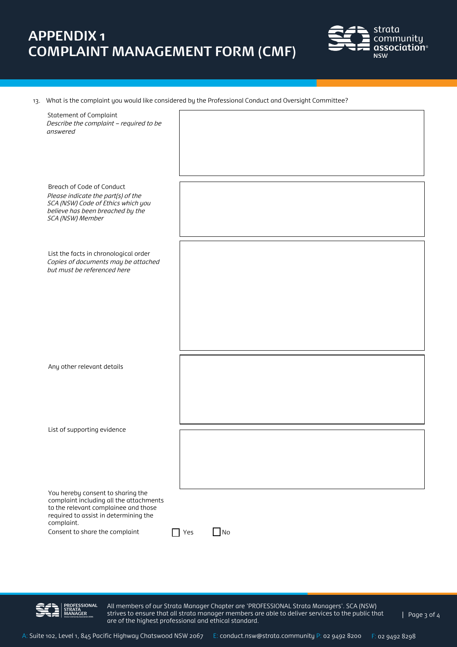

13. What is the complaint you would like considered by the Professional Conduct and Oversight Committee?

| <b>Statement of Complaint</b><br>Describe the complaint - required to be<br>answered                                                                                                                          |                         |
|---------------------------------------------------------------------------------------------------------------------------------------------------------------------------------------------------------------|-------------------------|
|                                                                                                                                                                                                               |                         |
| Breach of Code of Conduct<br>Please indicate the part(s) of the<br>SCA (NSW) Code of Ethics which you<br>believe has been breached by the<br>SCA (NSW) Member                                                 |                         |
| List the facts in chronological order<br>Copies of documents may be attached<br>but must be referenced here                                                                                                   |                         |
|                                                                                                                                                                                                               |                         |
|                                                                                                                                                                                                               |                         |
|                                                                                                                                                                                                               |                         |
| Any other relevant details                                                                                                                                                                                    |                         |
|                                                                                                                                                                                                               |                         |
|                                                                                                                                                                                                               |                         |
| List of supporting evidence                                                                                                                                                                                   |                         |
|                                                                                                                                                                                                               |                         |
|                                                                                                                                                                                                               |                         |
| You hereby consent to sharing the<br>complaint including all the attachments<br>to the relevant complainee and those<br>required to assist in determining the<br>complaint.<br>Consent to share the complaint | $\Box$ No<br>$\Box$ Yes |
|                                                                                                                                                                                                               |                         |



All members of our Strata Manager Chapter are 'PROFESSIONAL Strata Managers'. SCA (NSW) strives to ensure that all strata manager members are able to deliver services to the public that are of the highest professional and ethical standard.

| Page 3 of 4